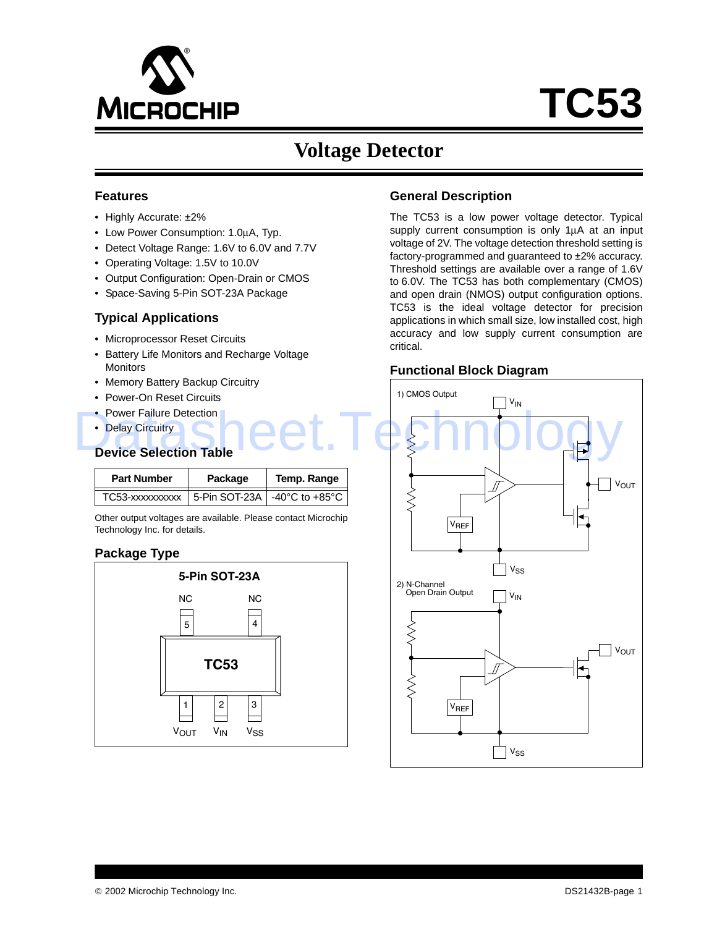

# **Voltage Detector**

#### **Features**

- Highly Accurate: ±2%
- Low Power Consumption: 1.0µA, Typ.
- Detect Voltage Range: 1.6V to 6.0V and 7.7V
- Operating Voltage: 1.5V to 10.0V
- Output Configuration: Open-Drain or CMOS
- Space-Saving 5-Pin SOT-23A Package

## **Typical Applications**

- Microprocessor Reset Circuits
- Battery Life Monitors and Recharge Voltage **Monitors**
- Memory Battery Backup Circuitry
- Power-On Reset Circuits
- Power Failure Detection
- Delay Circuitry

### **Device Selection Table**

| <b>Part Number</b> | Package | Temp. Range                    |  |  |
|--------------------|---------|--------------------------------|--|--|
| TC53-xxxxxxxxxx    |         | 5-Pin SOT-23A   -40°C to +85°C |  |  |

Other output voltages are available. Please contact Microchip Technology Inc. for details.

## **Package Type**



## **General Description**

The TC53 is a low power voltage detector. Typical supply current consumption is only 1µA at an input voltage of 2V. The voltage detection threshold setting is factory-programmed and guaranteed to ±2% accuracy. Threshold settings are available over a range of 1.6V to 6.0V. The TC53 has both complementary (CMOS) and open drain (NMOS) output configuration options. TC53 is the ideal voltage detector for precision applications in which small size, low installed cost, high accuracy and low supply current consumption are critical.

### **Functional Block Diagram**

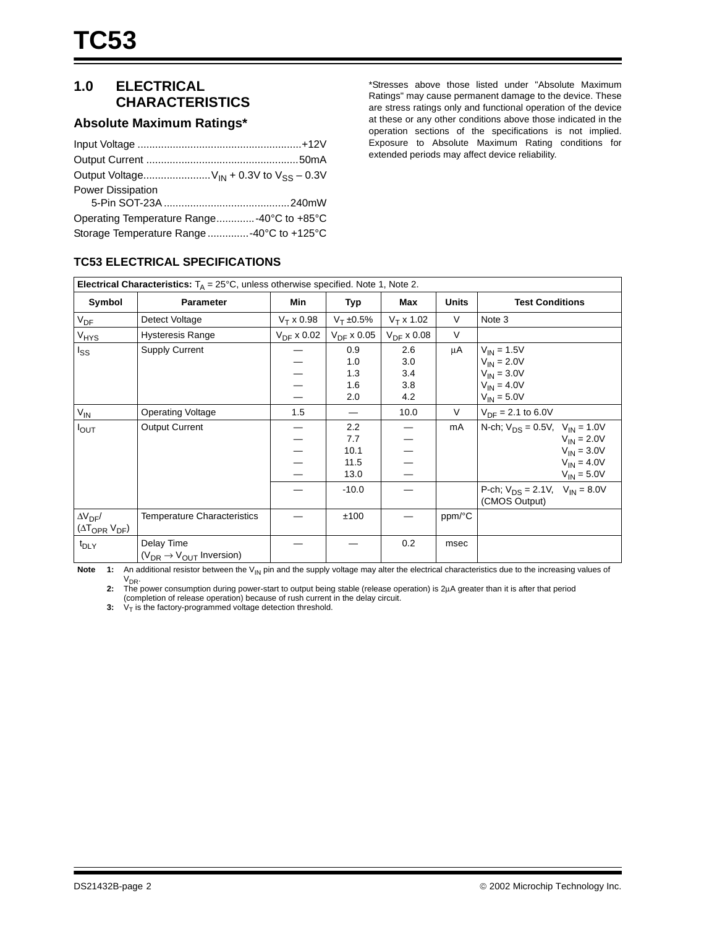# **1.0 ELECTRICAL CHARACTERISTICS**

## **Absolute Maximum Ratings\***

| Output Voltage $V_{IN} + 0.3V$ to $V_{SS} - 0.3V$ |
|---------------------------------------------------|
| Power Dissipation                                 |
|                                                   |
| Operating Temperature Range-40°C to +85°C         |
| Storage Temperature Range -40°C to +125°C         |

\*Stresses above those listed under "Absolute Maximum Ratings" may cause permanent damage to the device. These are stress ratings only and functional operation of the device at these or any other conditions above those indicated in the operation sections of the specifications is not implied. Exposure to Absolute Maximum Rating conditions for extended periods may affect device reliability.

#### **Electrical Characteristics:**  $T_A = 25^{\circ}$ C, unless otherwise specified. Note 1, Note 2. Symbol **Parameter** Min Typ Max Units Test Conditions  $V_{DF}$  Detect Voltage  $V_T x 0.98 | V_T \pm 0.5\% | V_T x 1.02 | V$  Note 3  $V_{\text{HYS}}$  Hysteresis Range  $\sqrt{V_{\text{DF}} \times 0.02} \sqrt{V_{\text{DF}} \times 0.05} \sqrt{V_{\text{DF}} \times 0.08}$  V I<sub>SS</sub> Supply Current — — — — 0.9 1.0 1.3 1.6 2.0 2.6 3.0 3.4 3.8 4.2  $\mu$ A  $V_{IN}$  = 1.5V  $V_{IN} = 2.0V$  $V_{IN} = 3.0V$  $V_{IN} = 4.0V$  $V_{IN} = 5.0V$ VIN Operating Voltage 1.5 — 10.0 V VDF = 2.1 to 6.0V I<sub>OUT</sub> | Output Current | — — — — — 2.2 7.7 10.1 11.5 13.0 — — — — mA | N-ch;  $V_{DS} = 0.5V$ ,  $V_{IN} = 1.0V$  $V_{IN} = 2.0V$  $V_{IN} = 3.0V$  $V_{IN} = 4.0V$  $V_{IN} = 5.0V$  $-10.0$  – P-ch;  $V_{DS} = 2.1V$ ,  $V_{IN} = 8.0V$ (CMOS Output)  $\Delta V_{\text{DF}}/$  $(\Delta T_{\text{OPR}} V_{\text{DF}})$ Temperature Characteristics  $\begin{vmatrix} - & 1 & 100 \\ - & 1 & 100 \end{vmatrix}$  = ppm/°C t<sub>DLY</sub> Delay Time  $(V_{DR} \rightarrow V_{OUT}$  Inversion) — — 0.2 msec

**TC53 ELECTRICAL SPECIFICATIONS**

Note 1: An additional resistor between the V<sub>IN</sub> pin and the supply voltage may alter the electrical characteristics due to the increasing values of V<sub>DR</sub>.

**2:** The power consumption during power-start to output being stable (release operation) is 2µA greater than it is after that period (completion of release operation) because of rush current in the delay circuit.

 $V_T$  is the factory-programmed voltage detection threshold.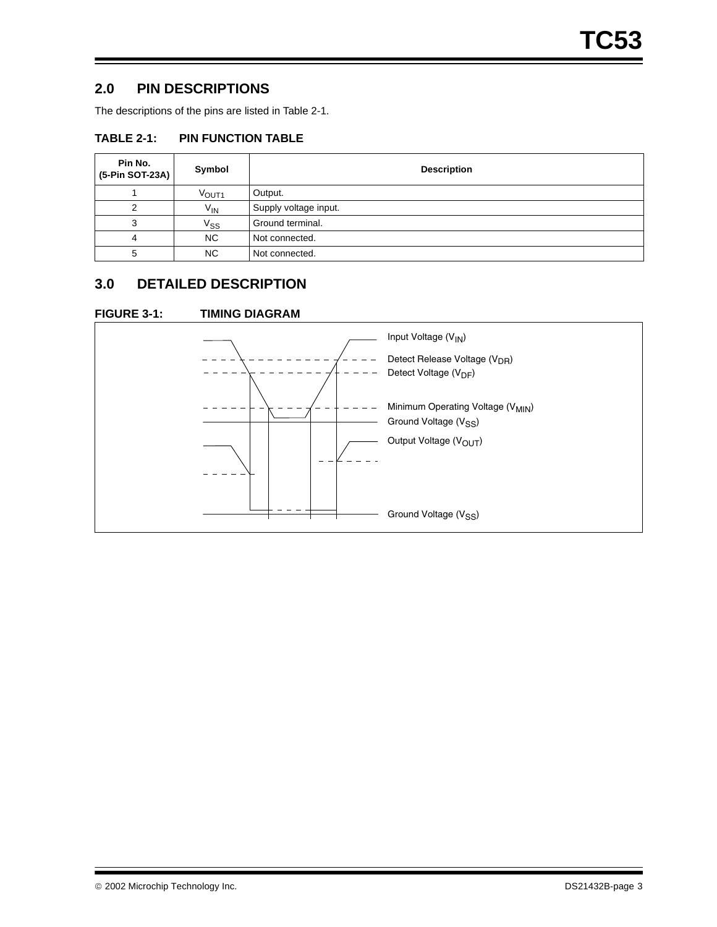## **2.0 PIN DESCRIPTIONS**

The descriptions of the pins are listed in Table 2-1.

## **TABLE 2-1: PIN FUNCTION TABLE**

| Pin No.<br>(5-Pin SOT-23A) | Symbol            | <b>Description</b>    |
|----------------------------|-------------------|-----------------------|
|                            | VOUT <sub>1</sub> | Output.               |
|                            | $V_{IN}$          | Supply voltage input. |
|                            | $\mathrm{V_{SS}}$ | Ground terminal.      |
| 4                          | NC.               | Not connected.        |
| 5                          | <b>NC</b>         | Not connected.        |

# **3.0 DETAILED DESCRIPTION**

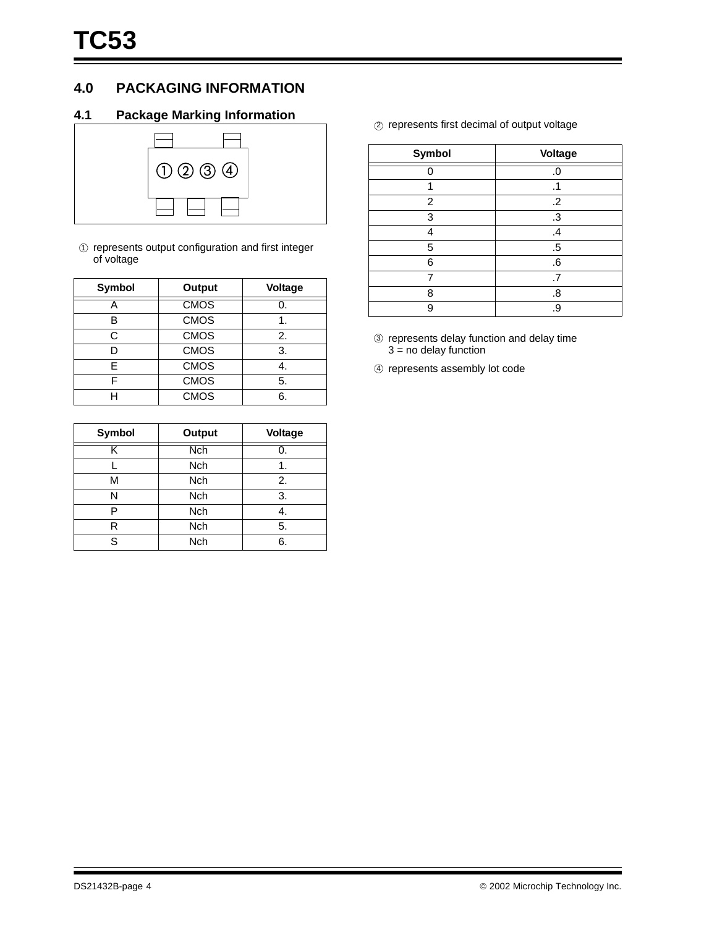## **4.0 PACKAGING INFORMATION**

## **4.1 Package Marking Information**



 $10$  represents output configuration and first integer of voltage

| Symbol | Output      | Voltage |  |  |
|--------|-------------|---------|--|--|
|        | <b>CMOS</b> |         |  |  |
| R      | <b>CMOS</b> |         |  |  |
| C      | <b>CMOS</b> | 2.      |  |  |
| D      | <b>CMOS</b> | 3.      |  |  |
| F      | <b>CMOS</b> |         |  |  |
| F      | <b>CMOS</b> | 5.      |  |  |
|        | <b>CMOS</b> | 6.      |  |  |

| <b>Symbol</b> | <b>Output</b> | Voltage |  |  |
|---------------|---------------|---------|--|--|
| Κ             | <b>Nch</b>    |         |  |  |
|               | <b>Nch</b>    |         |  |  |
| М             | Nch           | 2.      |  |  |
| N             | Nch           | 3.      |  |  |
| P             | <b>Nch</b>    | 4.      |  |  |
| R             | <b>Nch</b>    | 5.      |  |  |
| S             | <b>Nch</b>    | 6.      |  |  |

2 represents first decimal of output voltage

| <b>Symbol</b> | Voltage       |
|---------------|---------------|
|               | .0            |
| 1             | .1            |
| 2             | $\cdot$       |
| 3             | .3            |
| 4             | $\mathcal{A}$ |
| 5             | .5            |
| 6             | .6            |
|               | .7            |
| 8             | .8            |
| g             | .9            |

- 3 represents delay function and delay time  $3 = no$  delay function
- 4 represents assembly lot code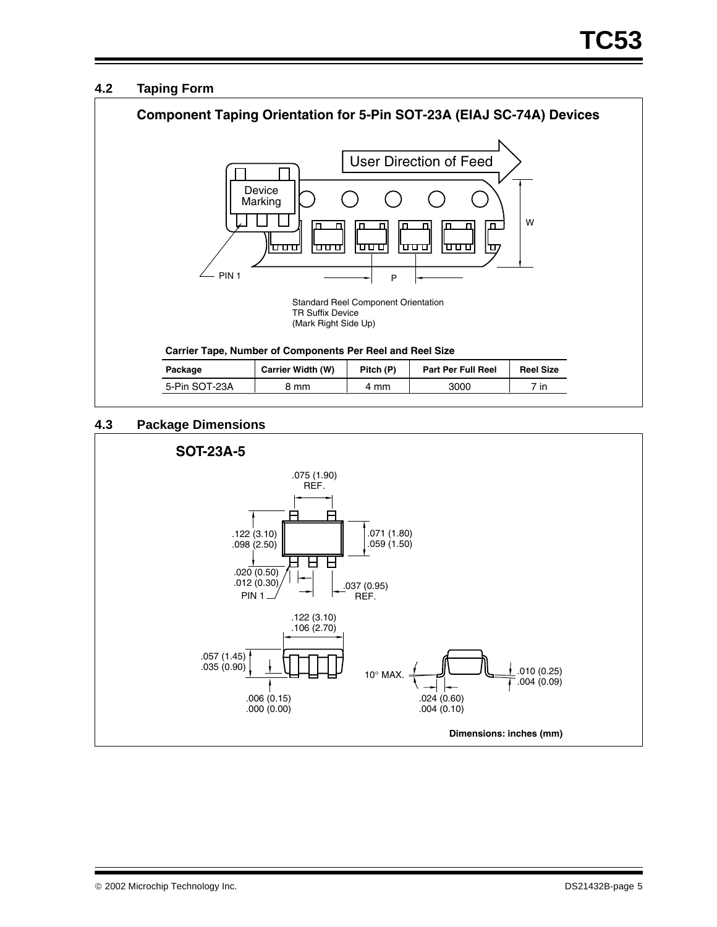## **4.2 Taping Form**



## **4.3 Package Dimensions**

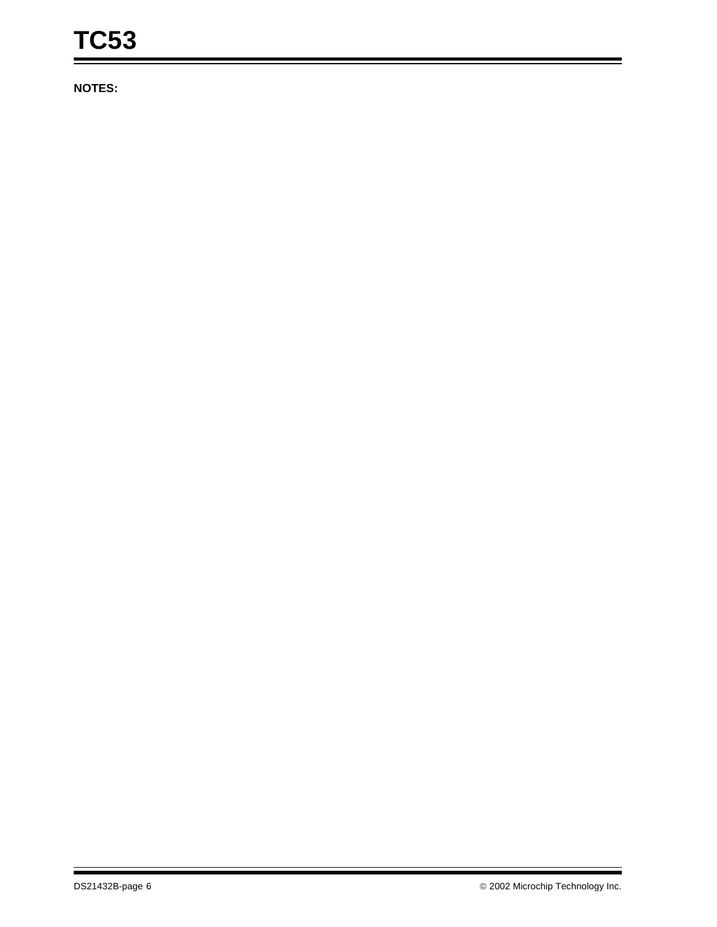**NOTES:**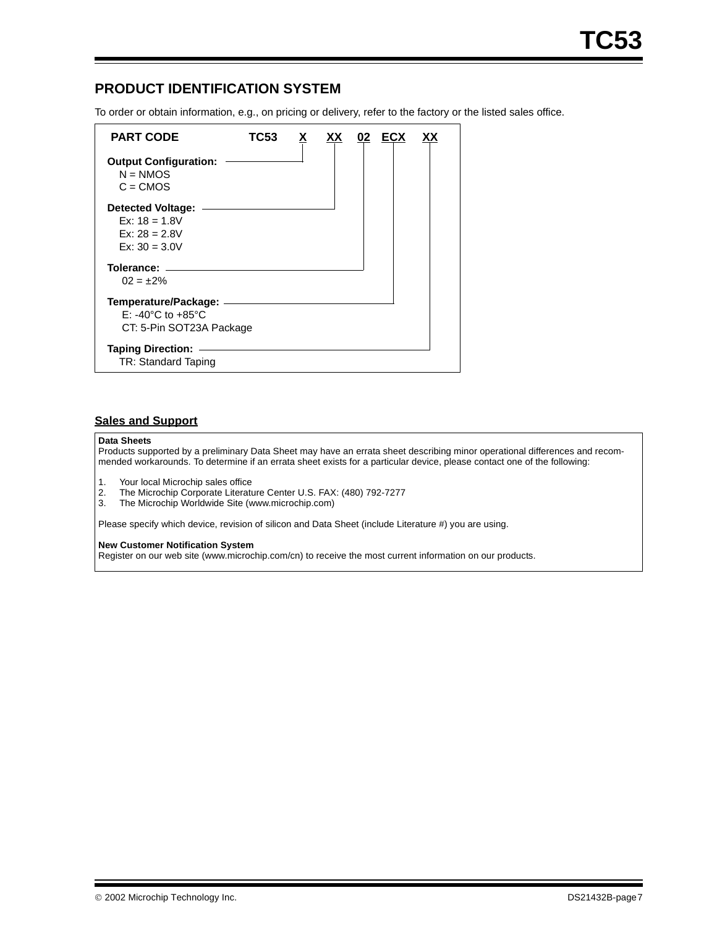## **PRODUCT IDENTIFICATION SYSTEM**

To order or obtain information, e.g., on pricing or delivery, refer to the factory or the listed sales office.

| <b>PART CODE</b>                                                                               | TC53 |  | 02 | ECX |  |
|------------------------------------------------------------------------------------------------|------|--|----|-----|--|
| <b>Output Configuration:</b><br>$N = NMOS$<br>$C = CMOS$                                       |      |  |    |     |  |
| Detected Voltage:<br>Ex: $18 = 1.8V$<br>$Ex: 28 = 2.8V$<br>$Ex: 30 = 3.0V$                     |      |  |    |     |  |
| Tolerance: _______<br>$02 = \pm 2\%$                                                           |      |  |    |     |  |
| Temperature/Package: ____<br>$E: -40^{\circ}$ C to $+85^{\circ}$ C<br>CT: 5-Pin SOT23A Package |      |  |    |     |  |
| <b>Taping Direction:</b><br>TR: Standard Taping                                                |      |  |    |     |  |

#### **Sales and Support**

#### **Data Sheets**

Products supported by a preliminary Data Sheet may have an errata sheet describing minor operational differences and recommended workarounds. To determine if an errata sheet exists for a particular device, please contact one of the following:

- 1. Your local Microchip sales office<br>2. The Microchip Corporate Literatu
- The Microchip Corporate Literature Center U.S. FAX: (480) 792-7277
- 3. The Microchip Worldwide Site (www.microchip.com)

Please specify which device, revision of silicon and Data Sheet (include Literature #) you are using.

#### **New Customer Notification System**

Register on our web site (www.microchip.com/cn) to receive the most current information on our products.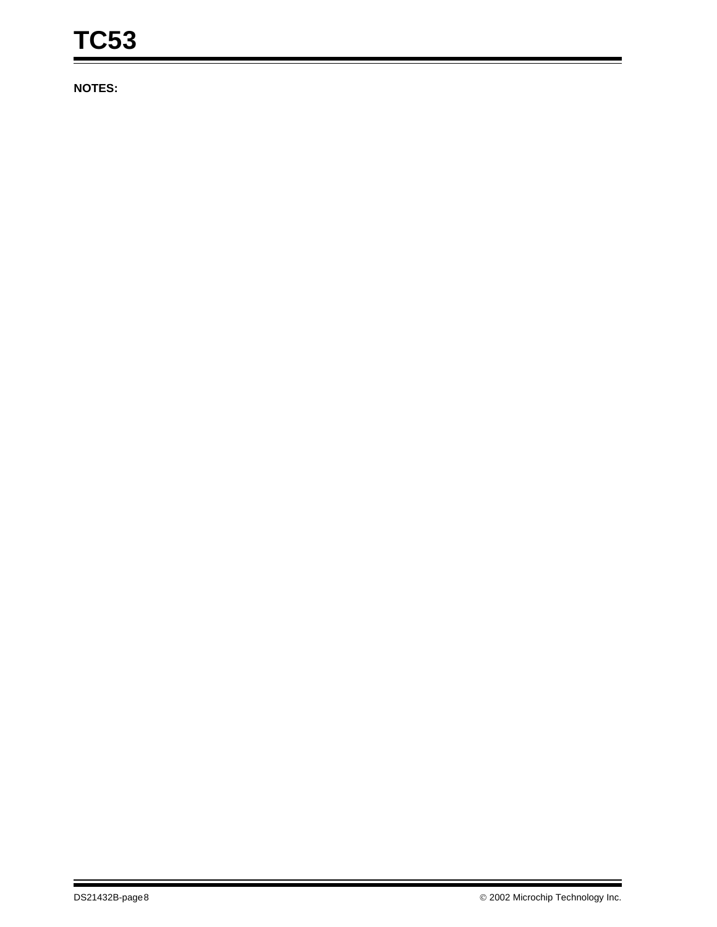**NOTES:**

i.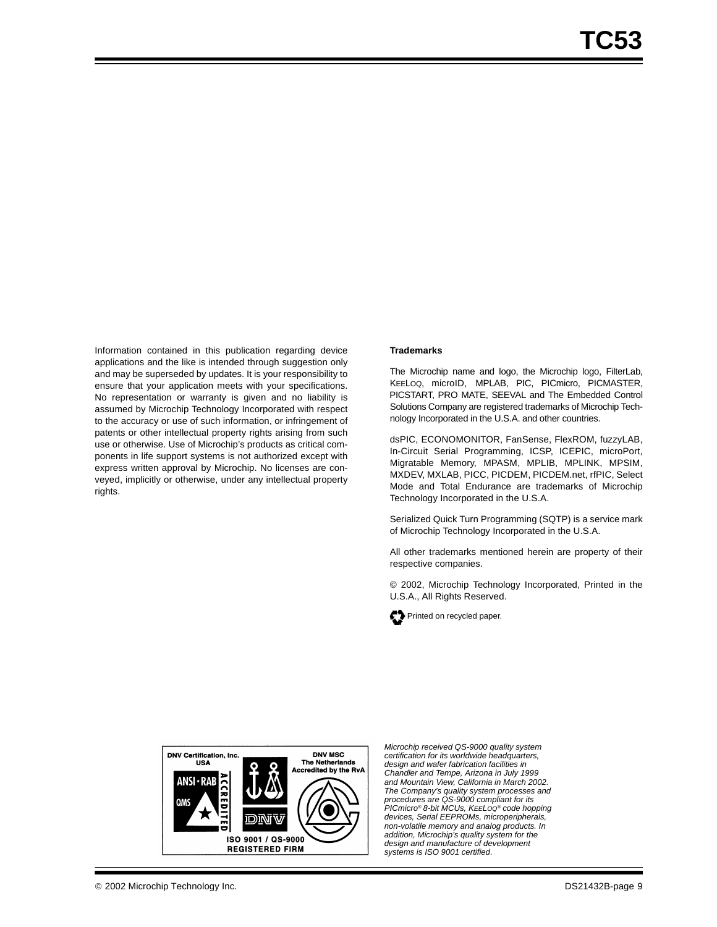Information contained in this publication regarding device applications and the like is intended through suggestion only and may be superseded by updates. It is your responsibility to ensure that your application meets with your specifications. No representation or warranty is given and no liability is assumed by Microchip Technology Incorporated with respect to the accuracy or use of such information, or infringement of patents or other intellectual property rights arising from such use or otherwise. Use of Microchip's products as critical components in life support systems is not authorized except with express written approval by Microchip. No licenses are conveyed, implicitly or otherwise, under any intellectual property rights.

#### **Trademarks**

The Microchip name and logo, the Microchip logo, FilterLab, KEELOQ, microID, MPLAB, PIC, PICmicro, PICMASTER, PICSTART, PRO MATE, SEEVAL and The Embedded Control Solutions Company are registered trademarks of Microchip Technology Incorporated in the U.S.A. and other countries.

dsPIC, ECONOMONITOR, FanSense, FlexROM, fuzzyLAB, In-Circuit Serial Programming, ICSP, ICEPIC, microPort, Migratable Memory, MPASM, MPLIB, MPLINK, MPSIM, MXDEV, MXLAB, PICC, PICDEM, PICDEM.net, rfPIC, Select Mode and Total Endurance are trademarks of Microchip Technology Incorporated in the U.S.A.

Serialized Quick Turn Programming (SQTP) is a service mark of Microchip Technology Incorporated in the U.S.A.

All other trademarks mentioned herein are property of their respective companies.

© 2002, Microchip Technology Incorporated, Printed in the U.S.A., All Rights Reserved.





*Microchip received QS-9000 quality system certification for its worldwide headquarters, design and wafer fabrication facilities in Chandler and Tempe, Arizona in July 1999 and Mountain View, California in March 2002. The Company's quality system processes and procedures are QS-9000 compliant for its PICmicro® 8-bit MCUs, KEELOQ® code hopping devices, Serial EEPROMs, microperipherals, non-volatile memory and analog products. In addition, Microchip's quality system for the design and manufacture of development systems is ISO 9001 certified.*